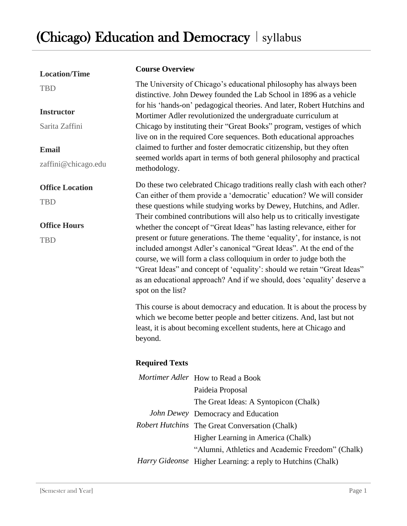| <b>Location/Time</b>   | <b>Course Overview</b>                                                                                                                                                                                                                                                                                                                                                                                                                                                                                                                                                                                                                                                                                                                                                              |                                                                                                                                              |  |
|------------------------|-------------------------------------------------------------------------------------------------------------------------------------------------------------------------------------------------------------------------------------------------------------------------------------------------------------------------------------------------------------------------------------------------------------------------------------------------------------------------------------------------------------------------------------------------------------------------------------------------------------------------------------------------------------------------------------------------------------------------------------------------------------------------------------|----------------------------------------------------------------------------------------------------------------------------------------------|--|
| <b>TBD</b>             | The University of Chicago's educational philosophy has always been<br>distinctive. John Dewey founded the Lab School in 1896 as a vehicle<br>for his 'hands-on' pedagogical theories. And later, Robert Hutchins and<br>Mortimer Adler revolutionized the undergraduate curriculum at                                                                                                                                                                                                                                                                                                                                                                                                                                                                                               |                                                                                                                                              |  |
| <b>Instructor</b>      |                                                                                                                                                                                                                                                                                                                                                                                                                                                                                                                                                                                                                                                                                                                                                                                     |                                                                                                                                              |  |
| Sarita Zaffini         |                                                                                                                                                                                                                                                                                                                                                                                                                                                                                                                                                                                                                                                                                                                                                                                     | Chicago by instituting their "Great Books" program, vestiges of which<br>live on in the required Core sequences. Both educational approaches |  |
| <b>Email</b>           | claimed to further and foster democratic citizenship, but they often                                                                                                                                                                                                                                                                                                                                                                                                                                                                                                                                                                                                                                                                                                                |                                                                                                                                              |  |
| zaffini@chicago.edu    | seemed worlds apart in terms of both general philosophy and practical<br>methodology.                                                                                                                                                                                                                                                                                                                                                                                                                                                                                                                                                                                                                                                                                               |                                                                                                                                              |  |
| <b>Office Location</b> | Do these two celebrated Chicago traditions really clash with each other?<br>Can either of them provide a 'democratic' education? We will consider<br>these questions while studying works by Dewey, Hutchins, and Adler.<br>Their combined contributions will also help us to critically investigate<br>whether the concept of "Great Ideas" has lasting relevance, either for<br>present or future generations. The theme 'equality', for instance, is not<br>included amongst Adler's canonical "Great Ideas". At the end of the<br>course, we will form a class colloquium in order to judge both the<br>"Great Ideas" and concept of 'equality': should we retain "Great Ideas"<br>as an educational approach? And if we should, does 'equality' deserve a<br>spot on the list? |                                                                                                                                              |  |
| <b>TBD</b>             |                                                                                                                                                                                                                                                                                                                                                                                                                                                                                                                                                                                                                                                                                                                                                                                     |                                                                                                                                              |  |
| <b>Office Hours</b>    |                                                                                                                                                                                                                                                                                                                                                                                                                                                                                                                                                                                                                                                                                                                                                                                     |                                                                                                                                              |  |
| <b>TBD</b>             |                                                                                                                                                                                                                                                                                                                                                                                                                                                                                                                                                                                                                                                                                                                                                                                     |                                                                                                                                              |  |
|                        | This course is about democracy and education. It is about the process by<br>which we become better people and better citizens. And, last but not<br>least, it is about becoming excellent students, here at Chicago and<br>beyond.                                                                                                                                                                                                                                                                                                                                                                                                                                                                                                                                                  |                                                                                                                                              |  |
|                        | <b>Required Texts</b>                                                                                                                                                                                                                                                                                                                                                                                                                                                                                                                                                                                                                                                                                                                                                               |                                                                                                                                              |  |
|                        |                                                                                                                                                                                                                                                                                                                                                                                                                                                                                                                                                                                                                                                                                                                                                                                     | Mortimer Adler How to Read a Book<br>Paideia Proposal<br>The Great Ideas: A Syntopicon (Chalk)                                               |  |
|                        |                                                                                                                                                                                                                                                                                                                                                                                                                                                                                                                                                                                                                                                                                                                                                                                     | John Dewey Democracy and Education                                                                                                           |  |
|                        |                                                                                                                                                                                                                                                                                                                                                                                                                                                                                                                                                                                                                                                                                                                                                                                     | Robert Hutchins The Great Conversation (Chalk)                                                                                               |  |
|                        |                                                                                                                                                                                                                                                                                                                                                                                                                                                                                                                                                                                                                                                                                                                                                                                     | Higher Learning in America (Chalk)                                                                                                           |  |
|                        |                                                                                                                                                                                                                                                                                                                                                                                                                                                                                                                                                                                                                                                                                                                                                                                     | "Alumni, Athletics and Academic Freedom" (Chalk)                                                                                             |  |